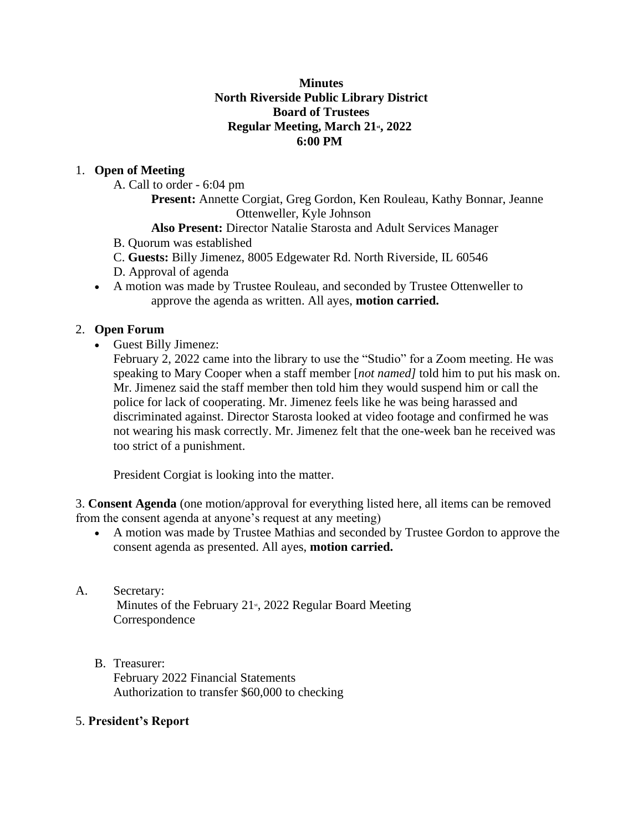#### **Minutes North Riverside Public Library District Board of Trustees Regular Meeting, March 21st, 2022 6:00 PM**

### 1. **Open of Meeting**

A. Call to order - 6:04 pm

**Present:** Annette Corgiat, Greg Gordon, Ken Rouleau, Kathy Bonnar, Jeanne Ottenweller, Kyle Johnson

### **Also Present:** Director Natalie Starosta and Adult Services Manager

B. Quorum was established

C. **Guests:** Billy Jimenez, 8005 Edgewater Rd. North Riverside, IL 60546

D. Approval of agenda

• A motion was made by Trustee Rouleau, and seconded by Trustee Ottenweller to approve the agenda as written. All ayes, **motion carried.**

### 2. **Open Forum**

• Guest Billy Jimenez:

February 2, 2022 came into the library to use the "Studio" for a Zoom meeting. He was speaking to Mary Cooper when a staff member [*not named]* told him to put his mask on. Mr. Jimenez said the staff member then told him they would suspend him or call the police for lack of cooperating. Mr. Jimenez feels like he was being harassed and discriminated against. Director Starosta looked at video footage and confirmed he was not wearing his mask correctly. Mr. Jimenez felt that the one-week ban he received was too strict of a punishment.

President Corgiat is looking into the matter.

3. **Consent Agenda** (one motion/approval for everything listed here, all items can be removed from the consent agenda at anyone's request at any meeting)

• A motion was made by Trustee Mathias and seconded by Trustee Gordon to approve the consent agenda as presented. All ayes, **motion carried.**

# A. Secretary:

Minutes of the February  $21<sup>s</sup>$ , 2022 Regular Board Meeting Correspondence

B. Treasurer: February 2022 Financial Statements Authorization to transfer \$60,000 to checking

### 5. **President's Report**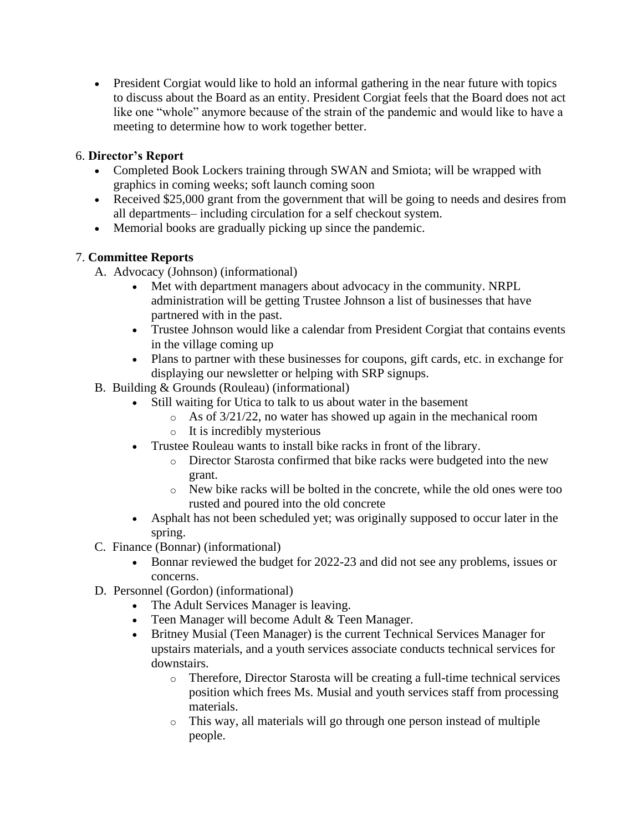• President Corgiat would like to hold an informal gathering in the near future with topics to discuss about the Board as an entity. President Corgiat feels that the Board does not act like one "whole" anymore because of the strain of the pandemic and would like to have a meeting to determine how to work together better.

### 6. **Director's Report**

- Completed Book Lockers training through SWAN and Smiota; will be wrapped with graphics in coming weeks; soft launch coming soon
- Received \$25,000 grant from the government that will be going to needs and desires from all departments– including circulation for a self checkout system.
- Memorial books are gradually picking up since the pandemic.

## 7. **Committee Reports**

- A. Advocacy (Johnson) (informational)
	- Met with department managers about advocacy in the community. NRPL administration will be getting Trustee Johnson a list of businesses that have partnered with in the past.
	- Trustee Johnson would like a calendar from President Corgiat that contains events in the village coming up
	- Plans to partner with these businesses for coupons, gift cards, etc. in exchange for displaying our newsletter or helping with SRP signups.
- B. Building & Grounds (Rouleau) (informational)
	- Still waiting for Utica to talk to us about water in the basement
		- o As of 3/21/22, no water has showed up again in the mechanical room
		- o It is incredibly mysterious
	- Trustee Rouleau wants to install bike racks in front of the library.
		- o Director Starosta confirmed that bike racks were budgeted into the new grant.
		- o New bike racks will be bolted in the concrete, while the old ones were too rusted and poured into the old concrete
	- Asphalt has not been scheduled yet; was originally supposed to occur later in the spring.
- C. Finance (Bonnar) (informational)
	- Bonnar reviewed the budget for 2022-23 and did not see any problems, issues or concerns.
- D. Personnel (Gordon) (informational)
	- The Adult Services Manager is leaving.
	- Teen Manager will become Adult & Teen Manager.
	- Britney Musial (Teen Manager) is the current Technical Services Manager for upstairs materials, and a youth services associate conducts technical services for downstairs.
		- o Therefore, Director Starosta will be creating a full-time technical services position which frees Ms. Musial and youth services staff from processing materials.
		- o This way, all materials will go through one person instead of multiple people.